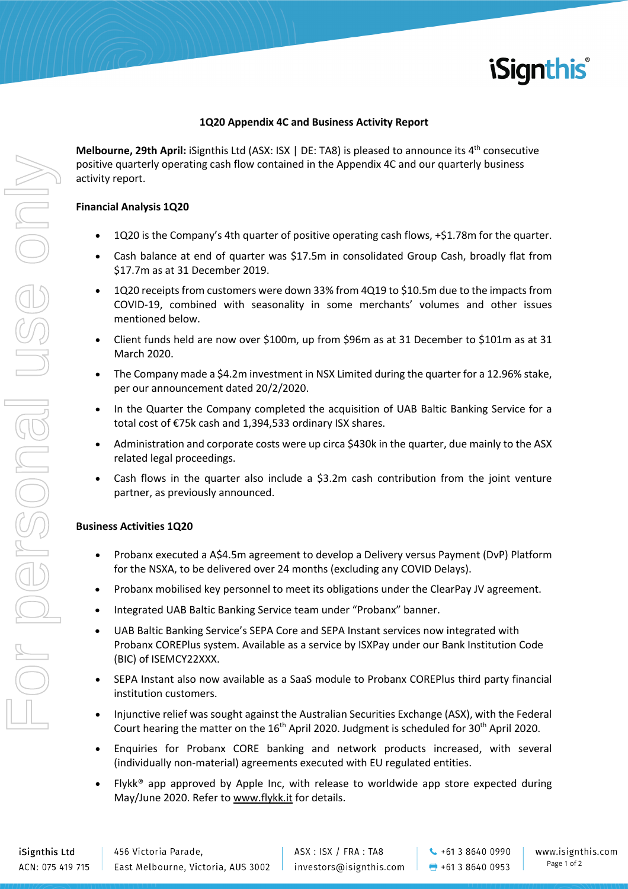

### **1Q20 Appendix 4C and Business Activity Report**

**Melbourne, 29th April:** iSignthis Ltd (ASX: ISX | DE: TA8) is pleased to announce its 4<sup>th</sup> consecutive positive quarterly operating cash flow contained in the Appendix 4C and our quarterly business activity report.

#### **Financial Analysis 1Q20**

- 1Q20 is the Company's 4th quarter of positive operating cash flows, +\$1.78m for the quarter.
- Cash balance at end of quarter was \$17.5m in consolidated Group Cash, broadly flat from \$17.7m as at 31 December 2019.
- 1Q20 receipts from customers were down 33% from 4Q19 to \$10.5m due to the impacts from COVID-19, combined with seasonality in some merchants' volumes and other issues mentioned below.
- Client funds held are now over \$100m, up from \$96m as at 31 December to \$101m as at 31 March 2020.
- The Company made a \$4.2m investment in NSX Limited during the quarter for a 12.96% stake, per our announcement dated 20/2/2020.
- In the Quarter the Company completed the acquisition of UAB Baltic Banking Service for a total cost of €75k cash and 1,394,533 ordinary ISX shares.
- Administration and corporate costs were up circa \$430k in the quarter, due mainly to the ASX related legal proceedings.
- Cash flows in the quarter also include a \$3.2m cash contribution from the joint venture partner, as previously announced.

### **Business Activities 1Q20**

- Probanx executed a A\$4.5m agreement to develop a Delivery versus Payment (DvP) Platform for the NSXA, to be delivered over 24 months (excluding any COVID Delays).
- Probanx mobilised key personnel to meet its obligations under the ClearPay JV agreement.
- Integrated UAB Baltic Banking Service team under "Probanx" banner.
- UAB Baltic Banking Service's SEPA Core and SEPA Instant services now integrated with Probanx COREPlus system. Available as a service by ISXPay under our Bank Institution Code (BIC) of ISEMCY22XXX.
- SEPA Instant also now available as a SaaS module to Probanx COREPlus third party financial institution customers.
- Injunctive relief was sought against the Australian Securities Exchange (ASX), with the Federal Court hearing the matter on the 16<sup>th</sup> April 2020. Judgment is scheduled for 30<sup>th</sup> April 2020.
- Enquiries for Probanx CORE banking and network products increased, with several (individually non-material) agreements executed with EU regulated entities.
- Flykk® app approved by Apple Inc, with release to worldwide app store expected during May/June 2020. Refer to www.flykk.it for details.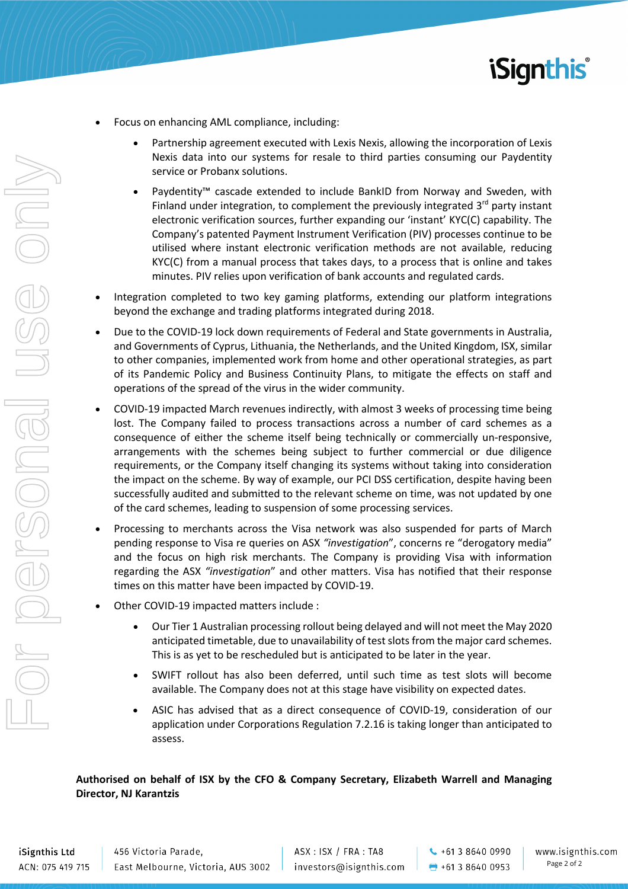

- Focus on enhancing AML compliance, including:
	- Partnership agreement executed with Lexis Nexis, allowing the incorporation of Lexis Nexis data into our systems for resale to third parties consuming our Paydentity service or Probanx solutions.
	- Paydentity™ cascade extended to include BankID from Norway and Sweden, with Finland under integration, to complement the previously integrated  $3<sup>rd</sup>$  party instant electronic verification sources, further expanding our 'instant' KYC(C) capability. The Company's patented Payment Instrument Verification (PIV) processes continue to be utilised where instant electronic verification methods are not available, reducing KYC(C) from a manual process that takes days, to a process that is online and takes minutes. PIV relies upon verification of bank accounts and regulated cards.
- Integration completed to two key gaming platforms, extending our platform integrations beyond the exchange and trading platforms integrated during 2018.
- Due to the COVID-19 lock down requirements of Federal and State governments in Australia, and Governments of Cyprus, Lithuania, the Netherlands, and the United Kingdom, ISX, similar to other companies, implemented work from home and other operational strategies, as part of its Pandemic Policy and Business Continuity Plans, to mitigate the effects on staff and operations of the spread of the virus in the wider community.
- COVID-19 impacted March revenues indirectly, with almost 3 weeks of processing time being lost. The Company failed to process transactions across a number of card schemes as a consequence of either the scheme itself being technically or commercially un-responsive, arrangements with the schemes being subject to further commercial or due diligence requirements, or the Company itself changing its systems without taking into consideration the impact on the scheme. By way of example, our PCI DSS certification, despite having been successfully audited and submitted to the relevant scheme on time, was not updated by one of the card schemes, leading to suspension of some processing services.
- Processing to merchants across the Visa network was also suspended for parts of March pending response to Visa re queries on ASX *"investigation*", concerns re "derogatory media" and the focus on high risk merchants. The Company is providing Visa with information regarding the ASX *"investigation*" and other matters. Visa has notified that their response times on this matter have been impacted by COVID-19.
- Other COVID-19 impacted matters include :
	- Our Tier 1 Australian processing rollout being delayed and will not meet the May 2020 anticipated timetable, due to unavailability of test slots from the major card schemes. This is as yet to be rescheduled but is anticipated to be later in the year.
	- SWIFT rollout has also been deferred, until such time as test slots will become available. The Company does not at this stage have visibility on expected dates.
	- ASIC has advised that as a direct consequence of COVID-19, consideration of our application under Corporations Regulation 7.2.16 is taking longer than anticipated to assess.

### **Authorised on behalf of ISX by the CFO & Company Secretary, Elizabeth Warrell and Managing Director, NJ Karantzis**

 $\leftarrow$  +61 3 8640 0990  $+61386400953$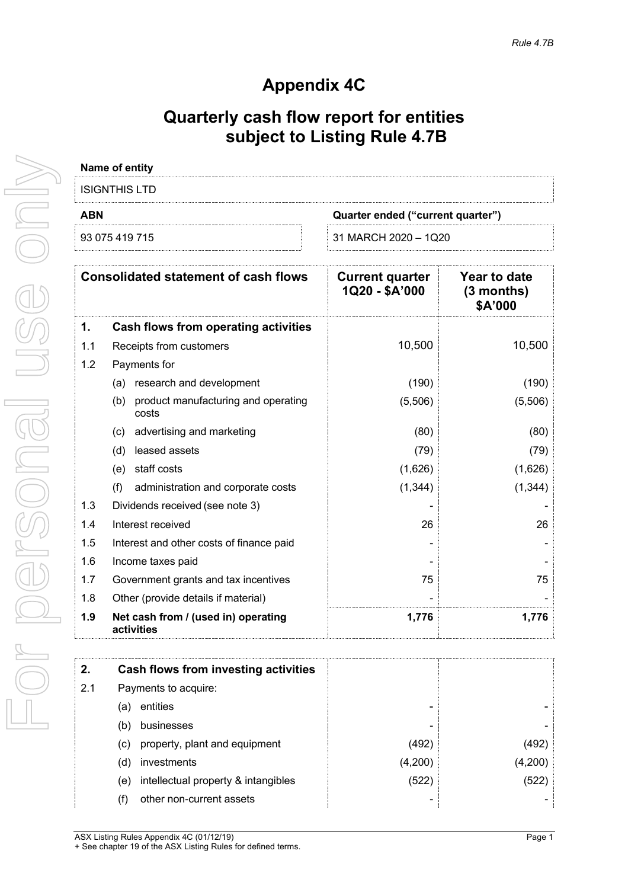# **Appendix 4C**

# **Quarterly cash flow report for entities subject to Listing Rule 4.7B**

|            | Name of entity                                      |                                          |                                                |
|------------|-----------------------------------------------------|------------------------------------------|------------------------------------------------|
|            | <b>ISIGNTHIS LTD</b>                                |                                          |                                                |
| <b>ABN</b> |                                                     | Quarter ended ("current quarter")        |                                                |
|            | 93 075 419 715                                      | 31 MARCH 2020 - 1Q20                     |                                                |
|            | <b>Consolidated statement of cash flows</b>         | <b>Current quarter</b><br>1Q20 - \$A'000 | <b>Year to date</b><br>$(3$ months)<br>\$A'000 |
| 1.         | <b>Cash flows from operating activities</b>         |                                          |                                                |
| 1.1        | Receipts from customers                             | 10,500                                   | 10,500                                         |
| 1.2        | Payments for                                        |                                          |                                                |
|            | research and development<br>(a)                     | (190)                                    | (190)                                          |
|            | product manufacturing and operating<br>(b)<br>costs | (5,506)                                  | (5,506)                                        |
|            | advertising and marketing<br>(c)                    | (80)                                     | (80)                                           |
|            | leased assets<br>(d)                                | (79)                                     | (79)                                           |
|            | (e) staff costs                                     | (1,626)                                  | (1,626)                                        |
|            | administration and corporate costs<br>(f)           | (1, 344)                                 | (1, 344)                                       |
| 1.3        | Dividends received (see note 3)                     |                                          |                                                |
| 1.4        | Interest received                                   | 26                                       | 26                                             |
| 1.5        | Interest and other costs of finance paid            |                                          |                                                |
| 1.6        | Income taxes paid                                   |                                          |                                                |
| 1.7        | Government grants and tax incentives                | 75                                       | 75                                             |
| 1.8        | Other (provide details if material)                 |                                          |                                                |
| 1.9        | Net cash from / (used in) operating<br>activities   | 1,776                                    | 1,776                                          |
| 2.         | <b>Cash flows from investing activities</b>         |                                          |                                                |
| 2.1        | Payments to acquire:                                |                                          |                                                |
|            | entities<br>(a)                                     |                                          |                                                |
|            | businesses<br>(b)                                   |                                          |                                                |
|            | property, plant and equipment<br>(c)                | (492)                                    | (492)                                          |
|            | investments<br>(d)                                  | (4,200)                                  | (4,200)                                        |
|            | intellectual property & intangibles<br>(e)          | (522)                                    | (522)                                          |
|            | other non-current assets<br>(f)                     |                                          |                                                |
|            |                                                     |                                          |                                                |

For personal use only JSG ONN ICOGISODEI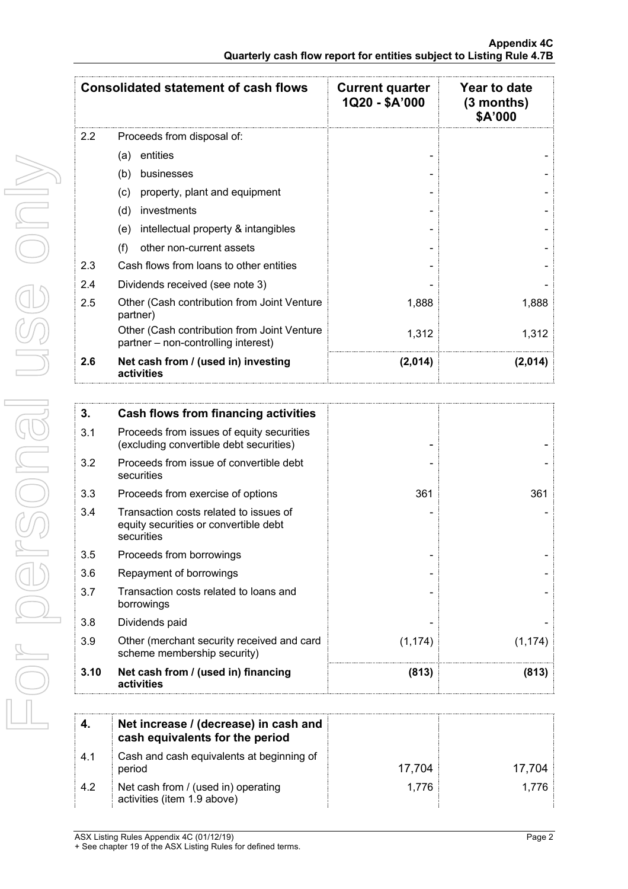|      | <b>Consolidated statement of cash flows</b>                                                   | <b>Current quarter</b><br>1Q20 - \$A'000 | <b>Year to date</b><br>$(3$ months)<br>\$A'000 |
|------|-----------------------------------------------------------------------------------------------|------------------------------------------|------------------------------------------------|
| 2.2  | Proceeds from disposal of:                                                                    |                                          |                                                |
|      | entities<br>(a)                                                                               |                                          |                                                |
|      | (b)<br>businesses                                                                             |                                          |                                                |
|      | property, plant and equipment<br>(c)                                                          |                                          |                                                |
|      | (d)<br>investments                                                                            |                                          |                                                |
|      | intellectual property & intangibles<br>(e)                                                    |                                          |                                                |
|      | other non-current assets<br>(f)                                                               |                                          |                                                |
| 2.3  | Cash flows from loans to other entities                                                       |                                          |                                                |
| 2.4  | Dividends received (see note 3)                                                               |                                          |                                                |
| 2.5  | Other (Cash contribution from Joint Venture<br>partner)                                       | 1,888                                    | 1,888                                          |
|      | Other (Cash contribution from Joint Venture<br>partner - non-controlling interest)            | 1,312                                    | 1,312                                          |
| 2.6  | Net cash from / (used in) investing<br>activities                                             | (2,014)                                  | (2,014)                                        |
|      |                                                                                               |                                          |                                                |
| 3.   | <b>Cash flows from financing activities</b>                                                   |                                          |                                                |
| 3.1  | Proceeds from issues of equity securities<br>(excluding convertible debt securities)          |                                          |                                                |
| 3.2  | Proceeds from issue of convertible debt<br>securities                                         |                                          |                                                |
| 3.3  | Proceeds from exercise of options                                                             | 361                                      | 361                                            |
| 3.4  | Transaction costs related to issues of<br>equity securities or convertible debt<br>securities |                                          |                                                |
| 3.5  | Proceeds from borrowings                                                                      |                                          |                                                |
| 3.6  | Repayment of borrowings                                                                       |                                          |                                                |
| 3.7  | Transaction costs related to loans and<br>borrowings                                          |                                          |                                                |
| 3.8  | Dividends paid                                                                                |                                          |                                                |
| 3.9  | Other (merchant security received and card<br>scheme membership security)                     | (1, 174)                                 | (1, 174)                                       |
| 3.10 | Net cash from / (used in) financing<br>activities                                             | (813)                                    | (813)                                          |
|      |                                                                                               |                                          |                                                |
| 4.   | Net increase / (decrease) in cash and<br>cash equivalents for the period                      |                                          |                                                |
| 4.1  | Cash and cash equivalents at beginning of<br>period                                           | 17,704                                   | 17,704                                         |
| 4.2  | Net cash from / (used in) operating<br>activities (item 1.9 above)                            | 1,776                                    | 1,776                                          |

For personal use only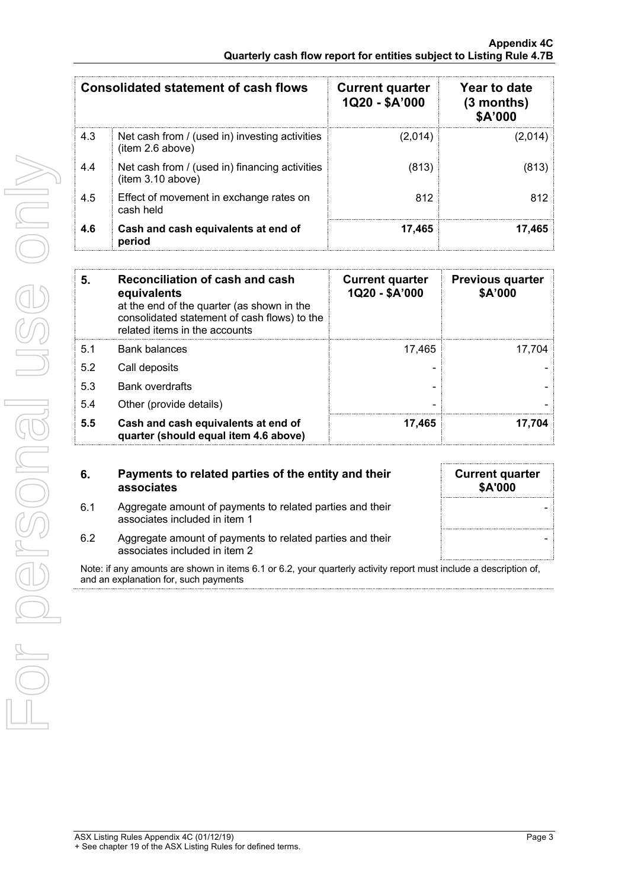|     | <b>Consolidated statement of cash flows</b>                         | <b>Current quarter</b><br>1Q20 - \$A'000 | Year to date<br>$(3$ months)<br>\$A'000 |
|-----|---------------------------------------------------------------------|------------------------------------------|-----------------------------------------|
| 4.3 | Net cash from / (used in) investing activities<br>(item 2.6 above)  | (2,014)                                  | (2,014)                                 |
| 4.4 | Net cash from / (used in) financing activities<br>(item 3.10 above) | (813)                                    | (813)                                   |
| 4.5 | Effect of movement in exchange rates on<br>cash held                | 812                                      | 812                                     |
| 4.6 | Cash and cash equivalents at end of<br>period                       | 17.465                                   | 17.465                                  |

| 5.  | Reconciliation of cash and cash<br>equivalents<br>at the end of the quarter (as shown in the<br>consolidated statement of cash flows) to the<br>related items in the accounts | <b>Current quarter</b><br>1Q20 - \$A'000 | <b>Previous quarter</b><br>\$A'000 |
|-----|-------------------------------------------------------------------------------------------------------------------------------------------------------------------------------|------------------------------------------|------------------------------------|
| 5.1 | <b>Bank balances</b>                                                                                                                                                          | 17.465                                   | 17.704                             |
| 5.2 | Call deposits                                                                                                                                                                 |                                          |                                    |
| 5.3 | <b>Bank overdrafts</b>                                                                                                                                                        |                                          |                                    |
| 5.4 | Other (provide details)                                                                                                                                                       |                                          |                                    |
| 5.5 | Cash and cash equivalents at end of<br>quarter (should equal item 4.6 above)                                                                                                  | 17,465                                   | 17.704                             |

| 6.  | Payments to related parties of the entity and their<br>associates                          | <b>Current quarter</b><br><b>\$A'000</b> |
|-----|--------------------------------------------------------------------------------------------|------------------------------------------|
| 6.1 | Aggregate amount of payments to related parties and their<br>associates included in item 1 |                                          |
| 6.2 | Aggregate amount of payments to related parties and their<br>associates included in item 2 |                                          |

Note: if any amounts are shown in items 6.1 or 6.2, your quarterly activity report must include a description of, and an explanation for, such payments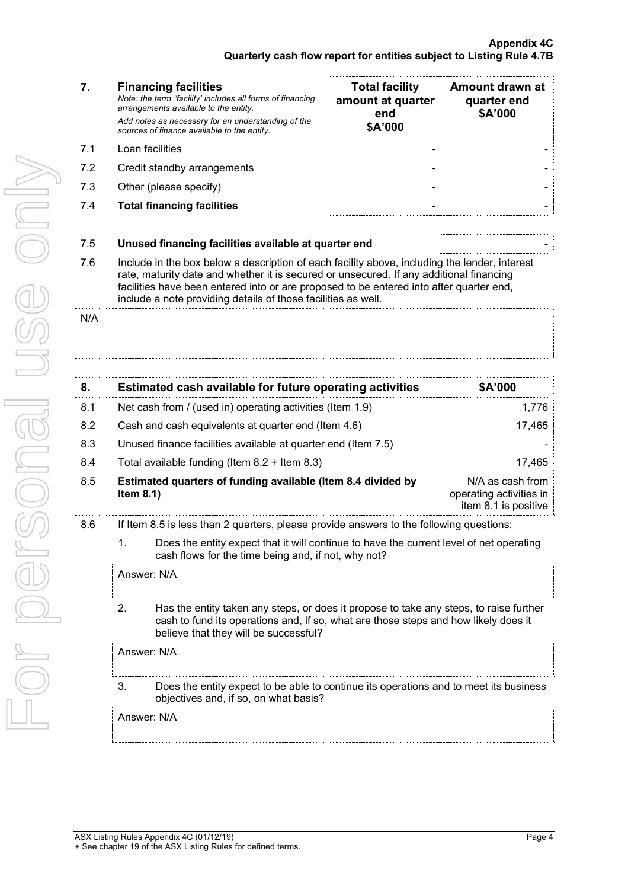| 7.  | <b>Financing facilities</b><br>Note: the term "facility' includes all forms of financing<br>arrangements available to the entity.                                                                                                                                                                                                                    | <b>Total facility</b><br>amount at quarter<br>end | Amount drawn at<br>quarter end<br>\$A'000                                                        |
|-----|------------------------------------------------------------------------------------------------------------------------------------------------------------------------------------------------------------------------------------------------------------------------------------------------------------------------------------------------------|---------------------------------------------------|--------------------------------------------------------------------------------------------------|
|     | Add notes as necessary for an understanding of the<br>sources of finance available to the entity.                                                                                                                                                                                                                                                    | \$A'000                                           |                                                                                                  |
| 7.1 | Loan facilities                                                                                                                                                                                                                                                                                                                                      |                                                   |                                                                                                  |
| 7.2 | Credit standby arrangements                                                                                                                                                                                                                                                                                                                          |                                                   |                                                                                                  |
| 7.3 | Other (please specify)                                                                                                                                                                                                                                                                                                                               |                                                   |                                                                                                  |
| 7.4 | <b>Total financing facilities</b>                                                                                                                                                                                                                                                                                                                    |                                                   |                                                                                                  |
| 7.5 | Unused financing facilities available at quarter end                                                                                                                                                                                                                                                                                                 |                                                   |                                                                                                  |
| 7.6 | Include in the box below a description of each facility above, including the lender, interest<br>rate, maturity date and whether it is secured or unsecured. If any additional financing<br>facilities have been entered into or are proposed to be entered into after quarter end,<br>include a note providing details of those facilities as well. |                                                   |                                                                                                  |
| N/A |                                                                                                                                                                                                                                                                                                                                                      |                                                   |                                                                                                  |
| 8.  | Estimated cash available for future operating activities                                                                                                                                                                                                                                                                                             |                                                   | \$A'000                                                                                          |
|     | Net cash from / (used in) operating activities (Item 1.9)                                                                                                                                                                                                                                                                                            |                                                   |                                                                                                  |
| 8.1 |                                                                                                                                                                                                                                                                                                                                                      |                                                   |                                                                                                  |
| 8.2 | Cash and cash equivalents at quarter end (Item 4.6)                                                                                                                                                                                                                                                                                                  |                                                   |                                                                                                  |
| 8.3 | Unused finance facilities available at quarter end (Item 7.5)                                                                                                                                                                                                                                                                                        |                                                   |                                                                                                  |
| 8.4 | Total available funding (Item 8.2 + Item 8.3)                                                                                                                                                                                                                                                                                                        |                                                   |                                                                                                  |
| 8.5 | Estimated quarters of funding available (Item 8.4 divided by<br>Item 8.1)                                                                                                                                                                                                                                                                            |                                                   |                                                                                                  |
| 8.6 | If Item 8.5 is less than 2 quarters, please provide answers to the following questions:                                                                                                                                                                                                                                                              |                                                   |                                                                                                  |
|     | Does the entity expect that it will continue to have the current level of net operating<br>1.<br>cash flows for the time being and, if not, why not?                                                                                                                                                                                                 |                                                   |                                                                                                  |
|     | Answer: N/A                                                                                                                                                                                                                                                                                                                                          |                                                   |                                                                                                  |
|     | 2.<br>Has the entity taken any steps, or does it propose to take any steps, to raise further<br>cash to fund its operations and, if so, what are those steps and how likely does it<br>believe that they will be successful?                                                                                                                         |                                                   |                                                                                                  |
|     | Answer: N/A                                                                                                                                                                                                                                                                                                                                          |                                                   | 1,776<br>17,465<br>17,465<br>N/A as cash from<br>operating activities in<br>item 8.1 is positive |
|     | 3.<br>Does the entity expect to be able to continue its operations and to meet its business<br>objectives and, if so, on what basis?                                                                                                                                                                                                                 |                                                   |                                                                                                  |